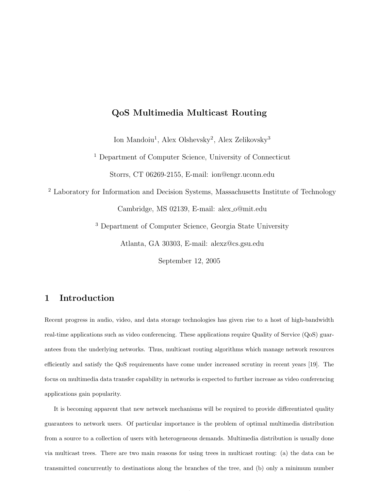# QoS Multimedia Multicast Routing

Ion Mandoiu<sup>1</sup>, Alex Olshevsky<sup>2</sup>, Alex Zelikovsky<sup>3</sup>

<sup>1</sup> Department of Computer Science, University of Connecticut

Storrs, CT 06269-2155, E-mail: ion@engr.uconn.edu

<sup>2</sup> Laboratory for Information and Decision Systems, Massachusetts Institute of Technology

Cambridge, MS 02139, E-mail: alex o@mit.edu

<sup>3</sup> Department of Computer Science, Georgia State University

Atlanta, GA 30303, E-mail: alexz@cs.gsu.edu

September 12, 2005

# 1 Introduction

Recent progress in audio, video, and data storage technologies has given rise to a host of high-bandwidth real-time applications such as video conferencing. These applications require Quality of Service (QoS) guarantees from the underlying networks. Thus, multicast routing algorithms which manage network resources efficiently and satisfy the QoS requirements have come under increased scrutiny in recent years [19]. The focus on multimedia data transfer capability in networks is expected to further increase as video conferencing applications gain popularity.

It is becoming apparent that new network mechanisms will be required to provide differentiated quality guarantees to network users. Of particular importance is the problem of optimal multimedia distribution from a source to a collection of users with heterogeneous demands. Multimedia distribution is usually done via multicast trees. There are two main reasons for using trees in multicast routing: (a) the data can be transmitted concurrently to destinations along the branches of the tree, and (b) only a minimum number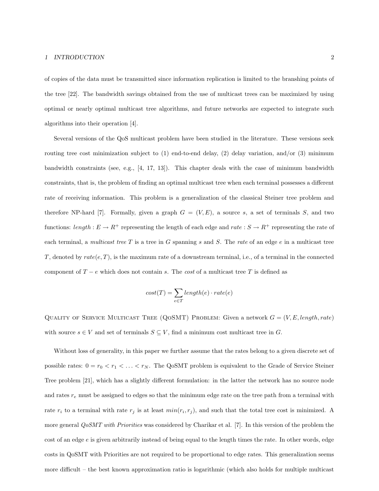#### 1 INTRODUCTION 2

of copies of the data must be transmitted since information replication is limited to the branshing points of the tree [22]. The bandwidth savings obtained from the use of multicast trees can be maximized by using optimal or nearly optimal multicast tree algorithms, and future networks are expected to integrate such algorithms into their operation [4].

Several versions of the QoS multicast problem have been studied in the literature. These versions seek routing tree cost minimization subject to  $(1)$  end-to-end delay,  $(2)$  delay variation, and/or  $(3)$  minimum bandwidth constraints (see, e.g.,  $[4, 17, 13]$ ). This chapter deals with the case of minimum bandwidth constraints, that is, the problem of finding an optimal multicast tree when each terminal possesses a different rate of receiving information. This problem is a generalization of the classical Steiner tree problem and therefore NP-hard [7]. Formally, given a graph  $G = (V, E)$ , a source s, a set of terminals S, and two functions:  $length : E \to R^+$  representing the length of each edge and  $rate : S \to R^+$  representing the rate of each terminal, a multicast tree  $T$  is a tree in  $G$  spanning  $s$  and  $S$ . The rate of an edge  $e$  in a multicast tree T, denoted by  $rate(e, T)$ , is the maximum rate of a downstream terminal, i.e., of a terminal in the connected component of  $T - e$  which does not contain s. The cost of a multicast tree T is defined as

$$
cost(T) = \sum_{e \in T} length(e) \cdot rate(e)
$$

QUALITY OF SERVICE MULTICAST TREE (QOSMT) PROBLEM: Given a network  $G = (V, E, length, rate)$ with source  $s \in V$  and set of terminals  $S \subseteq V$ , find a minimum cost multicast tree in G.

Without loss of generality, in this paper we further assume that the rates belong to a given discrete set of possible rates:  $0 = r_0 < r_1 < \ldots < r_N$ . The QoSMT problem is equivalent to the Grade of Service Steiner Tree problem [21], which has a slightly different formulation: in the latter the network has no source node and rates  $r_e$  must be assigned to edges so that the minimum edge rate on the tree path from a terminal with rate  $r_i$  to a terminal with rate  $r_j$  is at least  $min(r_i, r_j)$ , and such that the total tree cost is minimized. A more general *QoSMT with Priorities* was considered by Charikar et al. [7]. In this version of the problem the cost of an edge e is given arbitrarily instead of being equal to the length times the rate. In other words, edge costs in QoSMT with Priorities are not required to be proportional to edge rates. This generalization seems more difficult – the best known approximation ratio is logarithmic (which also holds for multiple multicast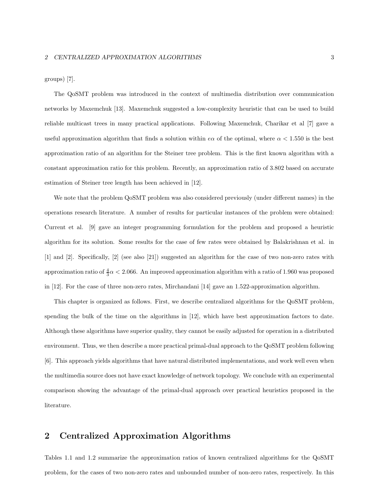groups) [7].

The QoSMT problem was introduced in the context of multimedia distribution over communication networks by Maxemchuk [13]. Maxemchuk suggested a low-complexity heuristic that can be used to build reliable multicast trees in many practical applications. Following Maxemchuk, Charikar et al [7] gave a useful approximation algorithm that finds a solution within  $e\alpha$  of the optimal, where  $\alpha < 1.550$  is the best approximation ratio of an algorithm for the Steiner tree problem. This is the first known algorithm with a constant approximation ratio for this problem. Recently, an approximation ratio of 3.802 based on accurate estimation of Steiner tree length has been achieved in [12].

We note that the problem QoSMT problem was also considered previously (under different names) in the operations research literature. A number of results for particular instances of the problem were obtained: Current et al. [9] gave an integer programming formulation for the problem and proposed a heuristic algorithm for its solution. Some results for the case of few rates were obtained by Balakrishnan et al. in [1] and [2]. Specifically, [2] (see also [21]) suggested an algorithm for the case of two non-zero rates with approximation ratio of  $\frac{4}{3}\alpha < 2.066$ . An improved approximation algorithm with a ratio of 1.960 was proposed in [12]. For the case of three non-zero rates, Mirchandani [14] gave an 1.522-approximation algorithm.

This chapter is organized as follows. First, we describe centralized algorithms for the QoSMT problem, spending the bulk of the time on the algorithms in [12], which have best approximation factors to date. Although these algorithms have superior quality, they cannot be easily adjusted for operation in a distributed environment. Thus, we then describe a more practical primal-dual approach to the QoSMT problem following [6]. This approach yields algorithms that have natural distributed implementations, and work well even when the multimedia source does not have exact knowledge of network topology. We conclude with an experimental comparison showing the advantage of the primal-dual approach over practical heuristics proposed in the literature.

# 2 Centralized Approximation Algorithms

Tables 1.1 and 1.2 summarize the approximation ratios of known centralized algorithms for the QoSMT problem, for the cases of two non-zero rates and unbounded number of non-zero rates, respectively. In this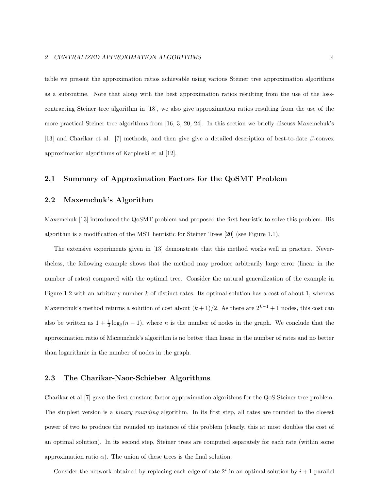table we present the approximation ratios achievable using various Steiner tree approximation algorithms as a subroutine. Note that along with the best approximation ratios resulting from the use of the losscontracting Steiner tree algorithm in [18], we also give approximation ratios resulting from the use of the more practical Steiner tree algorithms from [16, 3, 20, 24]. In this section we briefly discuss Maxemchuk's [13] and Charikar et al. [7] methods, and then give give a detailed description of best-to-date  $\beta$ -convex approximation algorithms of Karpinski et al [12].

### 2.1 Summary of Approximation Factors for the QoSMT Problem

## 2.2 Maxemchuk's Algorithm

Maxemchuk [13] introduced the QoSMT problem and proposed the first heuristic to solve this problem. His algorithm is a modification of the MST heuristic for Steiner Trees [20] (see Figure 1.1).

The extensive experiments given in [13] demonstrate that this method works well in practice. Nevertheless, the following example shows that the method may produce arbitrarily large error (linear in the number of rates) compared with the optimal tree. Consider the natural generalization of the example in Figure 1.2 with an arbitrary number k of distinct rates. Its optimal solution has a cost of about 1, whereas Maxemchuk's method returns a solution of cost about  $(k+1)/2$ . As there are  $2^{k-1}+1$  nodes, this cost can also be written as  $1 + \frac{1}{2} \log_2(n-1)$ , where *n* is the number of nodes in the graph. We conclude that the approximation ratio of Maxemchuk's algorithm is no better than linear in the number of rates and no better than logarithmic in the number of nodes in the graph.

#### 2.3 The Charikar-Naor-Schieber Algorithms

Charikar et al [7] gave the first constant-factor approximation algorithms for the QoS Steiner tree problem. The simplest version is a *binary rounding* algorithm. In its first step, all rates are rounded to the closest power of two to produce the rounded up instance of this problem (clearly, this at most doubles the cost of an optimal solution). In its second step, Steiner trees are computed separately for each rate (within some approximation ratio  $\alpha$ ). The union of these trees is the final solution.

Consider the network obtained by replacing each edge of rate  $2^i$  in an optimal solution by  $i+1$  parallel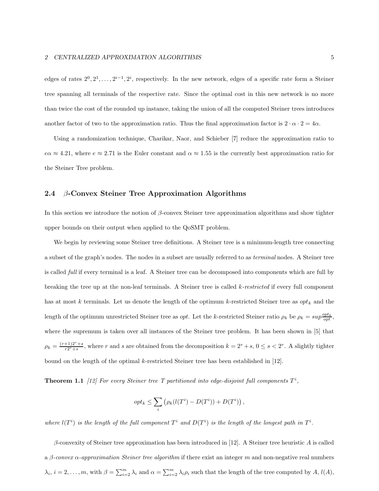edges of rates  $2^0, 2^1, \ldots, 2^{i-1}, 2^i$ , respectively. In the new network, edges of a specific rate form a Steiner tree spanning all terminals of the respective rate. Since the optimal cost in this new network is no more than twice the cost of the rounded up instance, taking the union of all the computed Steiner trees introduces another factor of two to the approximation ratio. Thus the final approximation factor is  $2 \cdot \alpha \cdot 2 = 4\alpha$ .

Using a randomization technique, Charikar, Naor, and Schieber [7] reduce the approximation ratio to  $e\alpha \approx 4.21$ , where  $e \approx 2.71$  is the Euler constant and  $\alpha \approx 1.55$  is the currently best approximation ratio for the Steiner Tree problem.

### 2.4  $\beta$ -Convex Steiner Tree Approximation Algorithms

In this section we introduce the notion of  $\beta$ -convex Steiner tree approximation algorithms and show tighter upper bounds on their output when applied to the QoSMT problem.

We begin by reviewing some Steiner tree definitions. A Steiner tree is a minimum-length tree connecting a subset of the graph's nodes. The nodes in a subset are usually referred to as terminal nodes. A Steiner tree is called full if every terminal is a leaf. A Steiner tree can be decomposed into components which are full by breaking the tree up at the non-leaf terminals. A Steiner tree is called  $k$ -restricted if every full component has at most k terminals. Let us denote the length of the optimum k-restricted Steiner tree as  $opt_k$  and the length of the optimum unrestricted Steiner tree as *opt*. Let the k-restricted Steiner ratio  $\rho_k$  be  $\rho_k = \sup \frac{opt_k}{opt}$ , where the supremum is taken over all instances of the Steiner tree problem. It has been shown in [5] that  $\rho_k = \frac{(r+1)2^r + s}{r2^r + s}$  $\frac{+1}{r^{2r}+s}$ , where r and s are obtained from the decomposition  $k = 2^r + s$ ,  $0 \le s < 2^r$ . A slightly tighter bound on the length of the optimal k-restricted Steiner tree has been established in [12].

**Theorem 1.1** [12] For every Steiner tree T partitioned into edge-disjoint full components  $T^i$ ,

$$
opt_k \leq \sum_i (\rho_k(l(T^i) - D(T^i)) + D(T^i)),
$$

where  $l(T^i)$  is the length of the full component  $T^i$  and  $D(T^i)$  is the length of the longest path in  $T^i$ .

 $\beta$ -convexity of Steiner tree approximation has been introduced in [12]. A Steiner tree heuristic A is called a β-convex  $\alpha$ -approximation Steiner tree algorithm if there exist an integer m and non-negative real numbers  $\lambda_i, i = 2, \ldots, m$ , with  $\beta = \sum_{i=2}^m \lambda_i$  and  $\alpha = \sum_{i=2}^m \lambda_i \rho_i$  such that the length of the tree computed by  $A, l(A)$ ,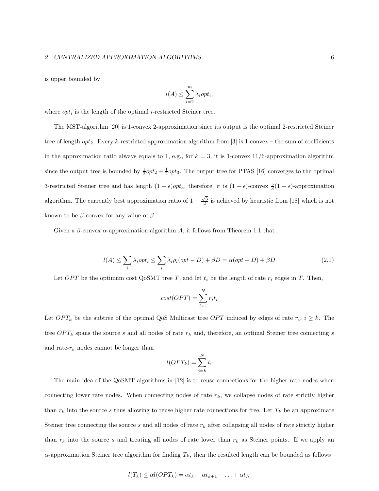#### 2 CENTRALIZED APPROXIMATION ALGORITHMS 6

is upper bounded by

$$
l(A) \le \sum_{i=2}^{m} \lambda_i opt_i,
$$

where  $opt_i$  is the length of the optimal *i*-restricted Steiner tree.

The MST-algorithm [20] is 1-convex 2-approximation since its output is the optimal 2-restricted Steiner tree of length  $opt_2$ . Every k-restricted approximation algorithm from [3] is 1-convex – the sum of coefficients in the approximation ratio always equals to 1, e.g., for  $k = 3$ , it is 1-convex 11/6-approximation algorithm since the output tree is bounded by  $\frac{1}{2}opt_2 + \frac{1}{2}opt_3$ . The output tree for PTAS [16] converges to the optimal 3-restricted Steiner tree and has length  $(1 + \epsilon)opt_3$ , therefore, it is  $(1 + \epsilon)$ -convex  $\frac{5}{3}(1 + \epsilon)$ -approximation algorithm. The currently best approximation ratio of  $1 + \frac{\sqrt{3}}{2}$  is achieved by heuristic from [18] which is not known to be  $\beta$ -convex for any value of  $\beta$ .

Given a  $\beta$ -convex  $\alpha$ -approximation algorithm A, it follows from Theorem 1.1 that

$$
l(A) \le \sum_{i} \lambda_i opt_i \le \sum_{i} \lambda_i \rho_i (opt - D) + \beta D = \alpha (opt - D) + \beta D \tag{2.1}
$$

Let OPT be the optimum cost QoSMT tree T, and let  $t_i$  be the length of rate  $r_i$  edges in T. Then,

$$
cost(OPT) = \sum_{i=1}^{N} r_i t_i
$$

Let  $OPT_k$  be the subtree of the optimal QoS Multicast tree  $OPT$  induced by edges of rate  $r_i, i \geq k$ . The tree  $OPT_k$  spans the source s and all nodes of rate  $r_k$  and, therefore, an optimal Steiner tree connecting s and rate- $r_k$  nodes cannot be longer than

$$
l(OPT_k) = \sum_{i=k}^{N} t_i
$$

The main idea of the QoSMT algorithms in [12] is to reuse connections for the higher rate nodes when connecting lower rate nodes. When connecting nodes of rate  $r_k$ , we collapse nodes of rate strictly higher than  $r_k$  into the source s thus allowing to reuse higher rate connections for free. Let  $T_k$  be an approximate Steiner tree connecting the source s and all nodes of rate  $r_k$  after collapsing all nodes of rate strictly higher than  $r_k$  into the source s and treating all nodes of rate lower than  $r_k$  as Steiner points. If we apply an  $\alpha$ -approximation Steiner tree algorithm for finding  $T_k$ , then the resulted length can be bounded as follows

$$
l(T_k) \leq \alpha l(OPT_k) = \alpha t_k + \alpha t_{k+1} + \ldots + \alpha t_N
$$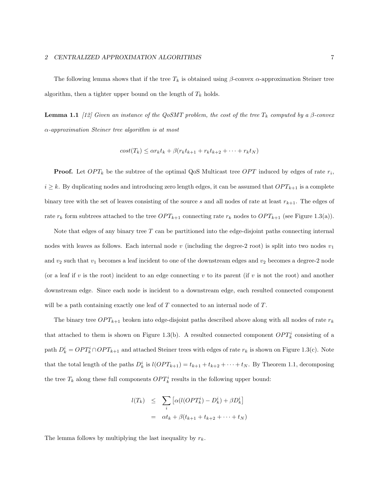The following lemma shows that if the tree  $T_k$  is obtained using β-convex  $\alpha$ -approximation Steiner tree algorithm, then a tighter upper bound on the length of  $T_k$  holds.

**Lemma 1.1** [12] Given an instance of the QoSMT problem, the cost of the tree  $T_k$  computed by a  $\beta$ -convex  $\alpha$ -approximation Steiner tree algorithm is at most

$$
cost(T_k) \leq \alpha r_k t_k + \beta(r_k t_{k+1} + r_k t_{k+2} + \dots + r_k t_N)
$$

**Proof.** Let  $OPT_k$  be the subtree of the optimal QoS Multicast tree  $OPT$  induced by edges of rate  $r_i$ ,  $i \geq k$ . By duplicating nodes and introducing zero length edges, it can be assumed that  $OPT_{k+1}$  is a complete binary tree with the set of leaves consisting of the source s and all nodes of rate at least  $r_{k+1}$ . The edges of rate  $r_k$  form subtrees attached to the tree  $OPT_{k+1}$  connecting rate  $r_k$  nodes to  $OPT_{k+1}$  (see Figure 1.3(a)).

Note that edges of any binary tree  $T$  can be partitioned into the edge-disjoint paths connecting internal nodes with leaves as follows. Each internal node v (including the degree-2 root) is split into two nodes  $v_1$ and  $v_2$  such that  $v_1$  becomes a leaf incident to one of the downstream edges and  $v_2$  becomes a degree-2 node (or a leaf if v is the root) incident to an edge connecting v to its parent (if v is not the root) and another downstream edge. Since each node is incident to a downstream edge, each resulted connected component will be a path containing exactly one leaf of T connected to an internal node of T.

The binary tree  $OPT_{k+1}$  broken into edge-disjoint paths described above along with all nodes of rate  $r_k$ that attached to them is shown on Figure 1.3(b). A resulted connected component  $OPT_k^i$  consisting of a path  $D_k^i = OPT_k^i \cap OPT_{k+1}$  and attached Steiner trees with edges of rate  $r_k$  is shown on Figure 1.3(c). Note that the total length of the paths  $D_k^i$  is  $l(OPT_{k+1}) = t_{k+1} + t_{k+2} + \cdots + t_N$ . By Theorem 1.1, decomposing the tree  $T_k$  along these full components  $OPT_k^i$  results in the following upper bound:

$$
l(T_k) \leq \sum_i \left[ \alpha(l(OPT_k^i) - D_k^i) + \beta D_k^i \right]
$$
  
=  $\alpha t_k + \beta(t_{k+1} + t_{k+2} + \dots + t_N)$ 

The lemma follows by multiplying the last inequality by  $r_k$ .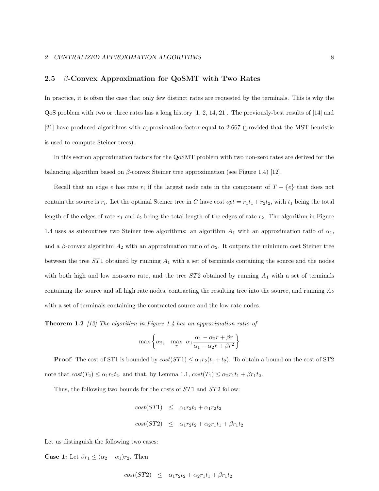## 2.5  $\beta$ -Convex Approximation for QoSMT with Two Rates

In practice, it is often the case that only few distinct rates are requested by the terminals. This is why the QoS problem with two or three rates has a long history [1, 2, 14, 21]. The previously-best results of [14] and [21] have produced algorithms with approximation factor equal to 2.667 (provided that the MST heuristic is used to compute Steiner trees).

In this section approximation factors for the QoSMT problem with two non-zero rates are derived for the balancing algorithm based on  $\beta$ -convex Steiner tree approximation (see Figure 1.4) [12].

Recall that an edge e has rate  $r_i$  if the largest node rate in the component of  $T - \{e\}$  that does not contain the source is  $r_i$ . Let the optimal Steiner tree in G have cost  $opt = r_1t_1 + r_2t_2$ , with  $t_1$  being the total length of the edges of rate  $r_1$  and  $t_2$  being the total length of the edges of rate  $r_2$ . The algorithm in Figure 1.4 uses as subroutines two Steiner tree algorithms: an algorithm  $A_1$  with an approximation ratio of  $\alpha_1$ , and a  $\beta$ -convex algorithm  $A_2$  with an approximation ratio of  $\alpha_2$ . It outputs the minimum cost Steiner tree between the tree  $ST1$  obtained by running  $A_1$  with a set of terminals containing the source and the nodes with both high and low non-zero rate, and the tree  $ST2$  obtained by running  $A_1$  with a set of terminals containing the source and all high rate nodes, contracting the resulting tree into the source, and running  $A_2$ with a set of terminals containing the contracted source and the low rate nodes.

**Theorem 1.2** [12] The algorithm in Figure 1.4 has an approximation ratio of

$$
\max \left\{ \alpha_2, \max_r \alpha_1 \frac{\alpha_1 - \alpha_2 r + \beta r}{\alpha_1 - \alpha_2 r + \beta r^2} \right\}
$$

**Proof.** The cost of ST1 is bounded by  $cost(ST1) \leq \alpha_1 r_2(t_1 + t_2)$ . To obtain a bound on the cost of ST2 note that  $cost(T_2) \leq \alpha_1 r_2 t_2$ , and that, by Lemma 1.1,  $cost(T_1) \leq \alpha_2 r_1 t_1 + \beta r_1 t_2$ .

Thus, the following two bounds for the costs of  $ST1$  and  $ST2$  follow:

$$
cost(ST1) \leq \alpha_1 r_2 t_1 + \alpha_1 r_2 t_2
$$
  

$$
cost(ST2) \leq \alpha_1 r_2 t_2 + \alpha_2 r_1 t_1 + \beta r_1 t_2
$$

Let us distinguish the following two cases:

**Case 1:** Let  $\beta r_1 \leq (\alpha_2 - \alpha_1) r_2$ . Then

$$
cost(ST2) \leq \alpha_1r_2t_2 + \alpha_2r_1t_1 + \beta r_1t_2
$$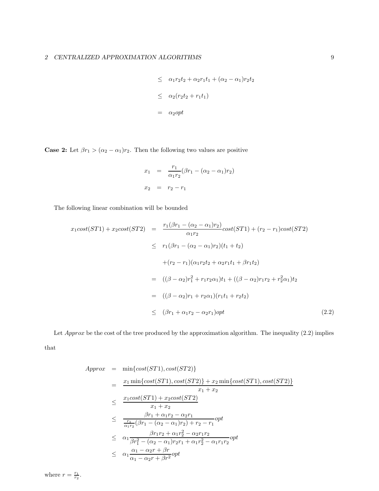$$
\leq \alpha_1 r_2 t_2 + \alpha_2 r_1 t_1 + (\alpha_2 - \alpha_1) r_2 t_2
$$
  

$$
\leq \alpha_2 (r_2 t_2 + r_1 t_1)
$$
  

$$
= \alpha_2 opt
$$

**Case 2:** Let  $\beta r_1 > (\alpha_2 - \alpha_1) r_2$ . Then the following two values are positive

$$
x_1 = \frac{r_1}{\alpha_1 r_2} (\beta r_1 - (\alpha_2 - \alpha_1) r_2)
$$
  

$$
x_2 = r_2 - r_1
$$

The following linear combination will be bounded

$$
x_1 cost(ST1) + x_2 cost(ST2) = \frac{r_1(\beta r_1 - (\alpha_2 - \alpha_1)r_2)}{\alpha_1 r_2} cost(ST1) + (r_2 - r_1) cost(ST2)
$$
  
\n
$$
\leq r_1(\beta r_1 - (\alpha_2 - \alpha_1)r_2)(t_1 + t_2)
$$
  
\n
$$
+ (r_2 - r_1)(\alpha_1 r_2 t_2 + \alpha_2 r_1 t_1 + \beta r_1 t_2)
$$
  
\n
$$
= ((\beta - \alpha_2)r_1^2 + r_1 r_2 \alpha_1)t_1 + ((\beta - \alpha_2)r_1 r_2 + r_2^2 \alpha_1)t_2
$$
  
\n
$$
= ((\beta - \alpha_2)r_1 + r_2 \alpha_1)(r_1 t_1 + r_2 t_2)
$$
  
\n
$$
\leq (\beta r_1 + \alpha_1 r_2 - \alpha_2 r_1) opt \qquad (2.2)
$$

Let  $Approx$  be the cost of the tree produced by the approximation algorithm. The inequality  $(2.2)$  implies that

$$
Approx = \min\{cost(ST1), cost(ST2)\}\n= \frac{x_1 \min\{cost(ST1), cost(ST2)\} + x_2 \min\{cost(ST1), cost(ST2)\}}{x_1 + x_2}\n\leq \frac{x_1 cost(ST1) + x_2 cost(ST2)}{x_1 + x_2}\n\leq \frac{\frac{\beta r_1 + \alpha_1 r_2 - \alpha_2 r_1}{r_1}}{\frac{r_1}{\alpha_1 r_2} (\beta r_1 - (\alpha_2 - \alpha_1) r_2) + r_2 - r_1} \text{opt}\n\leq \alpha_1 \frac{\beta r_1 r_2 + \alpha_1 r_2^2 - \alpha_2 r_1 r_2}{\beta r_1^2 - (\alpha_2 - \alpha_1) r_2 r_1 + \alpha_1 r_2^2 - \alpha_1 r_1 r_2} \text{opt}\n\leq \alpha_1 \frac{\alpha_1 - \alpha_2 r + \beta r}{\alpha_1 - \alpha_2 r + \beta r^2} \text{opt}
$$

where  $r = \frac{r_1}{r_2}$ .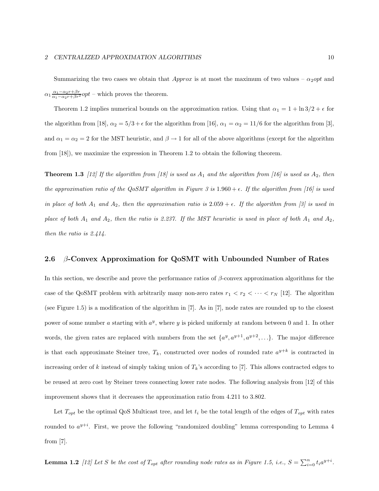Summarizing the two cases we obtain that Approx is at most the maximum of two values –  $\alpha_2$ opt and  $\alpha_1 \frac{\alpha_1 - \alpha_2 r + \beta r}{\alpha_1 - \alpha_2 r + \beta r^2} opt$  – which proves the theorem.

Theorem 1.2 implies numerical bounds on the approximation ratios. Using that  $\alpha_1 = 1 + \ln 3/2 + \epsilon$  for the algorithm from [18],  $\alpha_2 = 5/3 + \epsilon$  for the algorithm from [16],  $\alpha_1 = \alpha_2 = 11/6$  for the algorithm from [3], and  $\alpha_1 = \alpha_2 = 2$  for the MST heuristic, and  $\beta \to 1$  for all of the above algorithms (except for the algorithm from [18]), we maximize the expression in Theorem 1.2 to obtain the following theorem.

**Theorem 1.3** [12] If the algorithm from [18] is used as  $A_1$  and the algorithm from [16] is used as  $A_2$ , then the approximation ratio of the QoSMT algorithm in Figure 3 is  $1.960 + \epsilon$ . If the algorithm from [16] is used in place of both  $A_1$  and  $A_2$ , then the approximation ratio is  $2.059 + \epsilon$ . If the algorithm from [3] is used in place of both  $A_1$  and  $A_2$ , then the ratio is 2.237. If the MST heuristic is used in place of both  $A_1$  and  $A_2$ , then the ratio is 2.414.

### 2.6  $\beta$ -Convex Approximation for QoSMT with Unbounded Number of Rates

In this section, we describe and prove the performance ratios of  $\beta$ -convex approximation algorithms for the case of the QoSMT problem with arbitrarily many non-zero rates  $r_1 < r_2 < \cdots < r_N$  [12]. The algorithm (see Figure 1.5) is a modification of the algorithm in [7]. As in [7], node rates are rounded up to the closest power of some number a starting with  $a^y$ , where y is picked uniformly at random between 0 and 1. In other words, the given rates are replaced with numbers from the set  $\{a^y, a^{y+1}, a^{y+2}, ...\}$ . The major difference is that each approximate Steiner tree,  $T_k$ , constructed over nodes of rounded rate  $a^{y+k}$  is contracted in increasing order of k instead of simply taking union of  $T_k$ 's according to [7]. This allows contracted edges to be reused at zero cost by Steiner trees connecting lower rate nodes. The following analysis from [12] of this improvement shows that it decreases the approximation ratio from 4.211 to 3.802.

Let  $T_{opt}$  be the optimal QoS Multicast tree, and let  $t_i$  be the total length of the edges of  $T_{opt}$  with rates rounded to  $a^{y+i}$ . First, we prove the following "randomized doubling" lemma corresponding to Lemma 4 from  $[7]$ .

**Lemma 1.2** [12] Let S be the cost of  $T_{opt}$  after rounding node rates as in Figure 1.5, i.e.,  $S = \sum_{i=0}^{n} t_i a^{y+i}$ .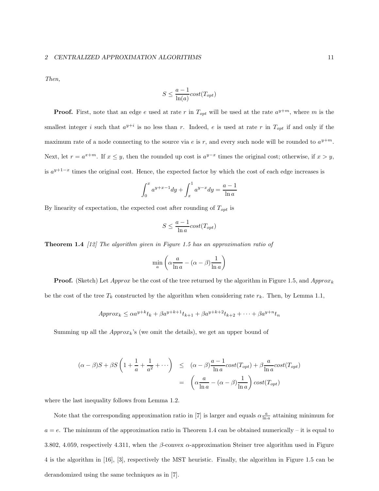#### 2 CENTRALIZED APPROXIMATION ALGORITHMS 11

Then,

$$
S \le \frac{a-1}{\ln(a)} cost(T_{opt})
$$

**Proof.** First, note that an edge e used at rate r in  $T_{opt}$  will be used at the rate  $a^{y+m}$ , where m is the smallest integer i such that  $a^{y+i}$  is no less than r. Indeed, e is used at rate r in  $T_{opt}$  if and only if the maximum rate of a node connecting to the source via e is r, and every such node will be rounded to  $a^{y+m}$ . Next, let  $r = a^{x+m}$ . If  $x \leq y$ , then the rounded up cost is  $a^{y-x}$  times the original cost; otherwise, if  $x > y$ , is  $a^{y+1-x}$  times the original cost. Hence, the expected factor by which the cost of each edge increases is

$$
\int_0^x a^{y+x-1} dy + \int_x^1 a^{y-x} dy = \frac{a-1}{\ln a}
$$

By linearity of expectation, the expected cost after rounding of  $T_{opt}$  is

$$
S \le \frac{a-1}{\ln a} cost(T_{opt})
$$

**Theorem 1.4** [12] The algorithm given in Figure 1.5 has an approximation ratio of

$$
\min_{a} \left( \alpha \frac{a}{\ln a} - (\alpha - \beta) \frac{1}{\ln a} \right)
$$

**Proof.** (Sketch) Let Approx be the cost of the tree returned by the algorithm in Figure 1.5, and Approx<sub>k</sub> be the cost of the tree  $T_k$  constructed by the algorithm when considering rate  $r_k$ . Then, by Lemma 1.1,

$$
Approx_k \le \alpha a^{y+k} t_k + \beta a^{y+k+1} t_{k+1} + \beta a^{y+k+2} t_{k+2} + \dots + \beta a^{y+n} t_n
$$

Summing up all the  $Approx_k$ 's (we omit the details), we get an upper bound of

$$
(\alpha - \beta)S + \beta S \left( 1 + \frac{1}{a} + \frac{1}{a^2} + \cdots \right) \le (\alpha - \beta) \frac{a - 1}{\ln a} cost(T_{opt}) + \beta \frac{a}{\ln a} cost(T_{opt})
$$

$$
= \left( \alpha \frac{a}{\ln a} - (\alpha - \beta) \frac{1}{\ln a} \right) cost(T_{opt})
$$

where the last inequality follows from Lemma 1.2.

Note that the corresponding approximation ratio in [7] is larger and equals  $\alpha \frac{a}{\ln a}$  attaining minimum for  $a = e$ . The minimum of the approximation ratio in Theorem 1.4 can be obtained numerically – it is equal to 3.802, 4.059, respectively 4.311, when the β-convex  $\alpha$ -approximation Steiner tree algorithm used in Figure 4 is the algorithm in [16], [3], respectively the MST heuristic. Finally, the algorithm in Figure 1.5 can be derandomized using the same techniques as in [7].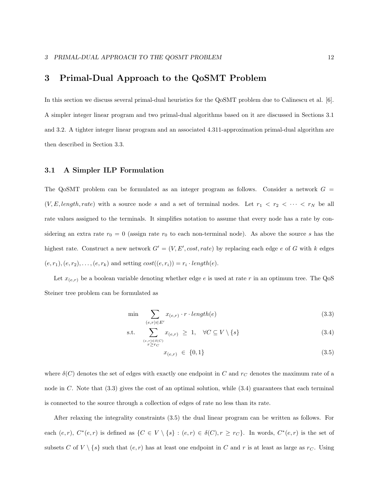# 3 Primal-Dual Approach to the QoSMT Problem

In this section we discuss several primal-dual heuristics for the QoSMT problem due to Calinescu et al. [6]. A simpler integer linear program and two primal-dual algorithms based on it are discussed in Sections 3.1 and 3.2. A tighter integer linear program and an associated 4.311-approximation primal-dual algorithm are then described in Section 3.3.

## 3.1 A Simpler ILP Formulation

The QoSMT problem can be formulated as an integer program as follows. Consider a network  $G =$  $(V, E, length, rate)$  with a source node s and a set of terminal nodes. Let  $r_1 \le r_2 \le \cdots \le r_N$  be all rate values assigned to the terminals. It simplifies notation to assume that every node has a rate by considering an extra rate  $r_0 = 0$  (assign rate  $r_0$  to each non-terminal node). As above the source s has the highest rate. Construct a new network  $G' = (V, E', cost, rate)$  by replacing each edge e of G with k edges  $(e, r_1), (e, r_2), \ldots, (e, r_k)$  and setting  $cost((e, r_i)) = r_i \cdot length(e)$ .

Let  $x_{(e,r)}$  be a boolean variable denoting whether edge e is used at rate r in an optimum tree. The QoS Steiner tree problem can be formulated as

$$
\min \sum_{(e,r)\in E'} x_{(e,r)} \cdot r \cdot length(e) \tag{3.3}
$$

s.t. 
$$
\sum_{\substack{(e,r)\in\delta(C)\\r\geq r_C}} x_{(e,r)} \geq 1, \quad \forall C \subseteq V \setminus \{s\}
$$
 (3.4)

$$
x_{(e,r)} \in \{0,1\} \tag{3.5}
$$

where  $\delta(C)$  denotes the set of edges with exactly one endpoint in C and  $r<sub>C</sub>$  denotes the maximum rate of a node in  $C$ . Note that  $(3.3)$  gives the cost of an optimal solution, while  $(3.4)$  guarantees that each terminal is connected to the source through a collection of edges of rate no less than its rate.

After relaxing the integrality constraints (3.5) the dual linear program can be written as follows. For each  $(e, r)$ ,  $C^*(e, r)$  is defined as  $\{C \in V \setminus \{s\} : (e, r) \in \delta(C), r \geq r_C\}$ . In words,  $C^*(e, r)$  is the set of subsets C of  $V \setminus \{s\}$  such that  $(e, r)$  has at least one endpoint in C and r is at least as large as  $r<sub>C</sub>$ . Using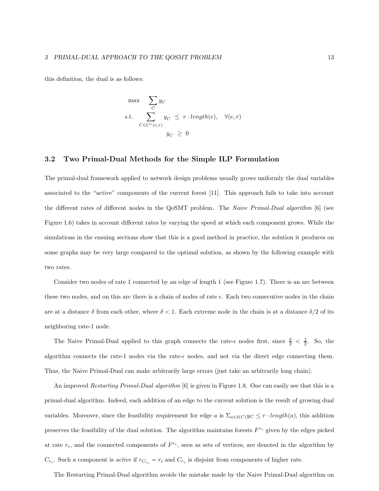this definition, the dual is as follows:

$$
\begin{array}{ll}\n\max & \sum_{C} y_C \\
\text{s.t.} & \sum_{C \in C^*(e,r)} y_C \leq r \cdot length(e), \quad \forall (e,r) \\
& y_C \geq 0\n\end{array}
$$

### 3.2 Two Primal-Dual Methods for the Simple ILP Formulation

The primal-dual framework applied to network design problems usually grows uniformly the dual variables associated to the "active" components of the current forest [11]. This approach fails to take into account the different rates of different nodes in the QoSMT problem. The Naive Primal-Dual algorithm [6] (see Figure 1.6) takes in account different rates by varying the speed at which each component grows. While the simulations in the ensuing sections show that this is a good method in practice, the solution it produces on some graphs may be very large compared to the optimal solution, as shown by the following example with two rates.

Consider two nodes of rate 1 connected by an edge of length 1 (see Figure 1.7). There is an arc between these two nodes, and on this arc there is a chain of nodes of rate  $\epsilon$ . Each two consecutive nodes in the chain are at a distance  $\delta$  from each other, where  $\delta$  < 1. Each extreme node in the chain is at a distance  $\delta/2$  of its neighboring rate-1 node.

The Naive Primal-Dual applied to this graph connects the rate- $\epsilon$  nodes first, since  $\frac{\delta}{2} < \frac{1}{2}$ . So, the algorithm connects the rate-1 nodes via the rate- $\epsilon$  nodes, and not via the direct edge connecting them. Thus, the Naive Primal-Dual can make arbitrarily large errors (just take an arbitrarily long chain).

An improved *Restarting Primal-Dual algorithm* [6] is given in Figure 1.8. One can easily see that this is a primal-dual algorithm. Indeed, each addition of an edge to the current solution is the result of growing dual variables. Moreover, since the feasibility requirement for edge a is  $\Sigma_{a \in \delta(C)} y_C \leq r \cdot length(a)$ , this addition preserves the feasibility of the dual solution. The algorithm maintains forests  $F^{r_i}$  given by the edges picked at rate  $r_i$ , and the connected components of  $F^{r_i}$ , seen as sets of vertices, are denoted in the algorithm by  $C_{r_i}$ . Such a component is *active* if  $r_{C_{r_i}} = r_i$  and  $C_{r_i}$  is disjoint from components of higher rate.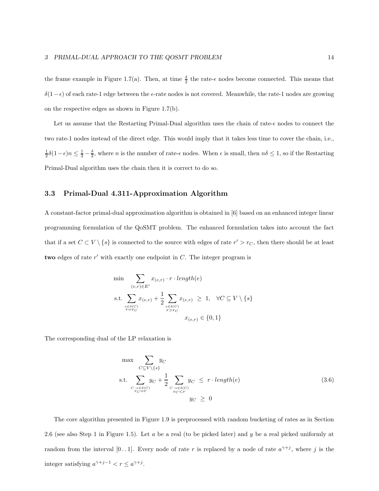the frame example in Figure 1.7(a). Then, at time  $\frac{\delta}{2}$  the rate- $\epsilon$  nodes become connected. This means that δ(1− $\epsilon$ ) of each rate-1 edge between the  $\epsilon$ -rate nodes is not covered. Meanwhile, the rate-1 nodes are growing on the respective edges as shown in Figure 1.7(b).

Let us assume that the Restarting Primal-Dual algorithm uses the chain of rate- $\epsilon$  nodes to connect the two rate-1 nodes instead of the direct edge. This would imply that it takes less time to cover the chain, i.e.,  $\frac{1}{2}\delta(1-\epsilon)n \leq \frac{1}{2}-\frac{\delta}{2}$ , where *n* is the number of rate- $\epsilon$  nodes. When  $\epsilon$  is small, then  $n\delta \leq 1$ , so if the Restarting Primal-Dual algorithm uses the chain then it is correct to do so.

## 3.3 Primal-Dual 4.311-Approximation Algorithm

A constant-factor primal-dual approximation algorithm is obtained in [6] based on an enhanced integer linear programming formulation of the QoSMT problem. The enhanced formulation takes into account the fact that if a set  $C \subset V \setminus \{s\}$  is connected to the source with edges of rate  $r' > r_C$ , then there should be at least two edges of rate  $r'$  with exactly one endpoint in  $C$ . The integer program is

$$
\min \sum_{(e,r)\in E'} x_{(e,r)} \cdot r \cdot length(e)
$$
\n
$$
\text{s.t.} \sum_{\substack{e \in \delta(C) \\ r = rc}} x_{(e,r)} + \frac{1}{2} \sum_{\substack{e \in \delta(C) \\ r > rc}} x_{(e,r)} \ge 1, \quad \forall C \subseteq V \setminus \{s\}
$$
\n
$$
x_{(e,r)} \in \{0, 1\}
$$

The corresponding dual of the LP relaxation is

$$
\max \sum_{C \subseteq V \setminus \{s\}} y_C
$$
\n
$$
\text{s.t.} \sum_{\substack{C: e \in \delta(C) \\ r_C = r}} y_C + \frac{1}{2} \sum_{\substack{C: e \in \delta(C) \\ r_C < r}} y_C \le r \cdot length(e) \tag{3.6}
$$
\n
$$
y_C \ge 0
$$

The core algorithm presented in Figure 1.9 is preprocessed with random bucketing of rates as in Section 2.6 (see also Step 1 in Figure 1.5). Let a be a real (to be picked later) and y be a real picked uniformly at random from the interval [0..1]. Every node of rate r is replaced by a node of rate  $a^{\gamma+j}$ , where j is the integer satisfying  $a^{\gamma+j-1} < r \leq a^{\gamma+j}$ .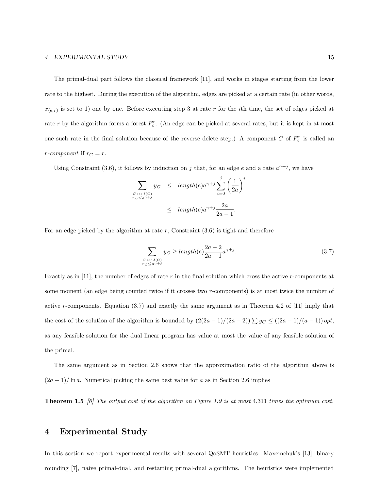#### 4 EXPERIMENTAL STUDY 15

The primal-dual part follows the classical framework [11], and works in stages starting from the lower rate to the highest. During the execution of the algorithm, edges are picked at a certain rate (in other words,  $x_{(e,r)}$  is set to 1) one by one. Before executing step 3 at rate r for the *i*th time, the set of edges picked at rate r by the algorithm forms a forest  $F_i^r$ . (An edge can be picked at several rates, but it is kept in at most one such rate in the final solution because of the reverse delete step.) A component C of  $F_i^r$  is called an *r*-component if  $r<sub>C</sub> = r$ .

Using Constraint (3.6), it follows by induction on j that, for an edge e and a rate  $a^{\gamma+j}$ , we have

$$
\sum_{\substack{C : e \in \delta(C) \\ r_C \le a^{\gamma + j}}} y_C \le \operatorname{length}(e) a^{\gamma + j} \sum_{i=0}^j \left(\frac{1}{2a}\right)^i
$$
  

$$
\le \operatorname{length}(e) a^{\gamma + j} \frac{2a}{2a - 1}.
$$

For an edge picked by the algorithm at rate  $r$ , Constraint  $(3.6)$  is tight and therefore

$$
\sum_{\substack{C: e \in \delta(C) \\ r_C \le a^{\gamma+j}}} y_C \ge length(e) \frac{2a - 2}{2a - 1} a^{\gamma+j}.
$$
\n(3.7)

Exactly as in [11], the number of edges of rate  $r$  in the final solution which cross the active  $r$ -components at some moment (an edge being counted twice if it crosses two r-components) is at most twice the number of active r-components. Equation (3.7) and exactly the same argument as in Theorem 4.2 of [11] imply that the cost of the solution of the algorithm is bounded by  $(2(2a-1)/(2a-2))\sum y_C \leq ((2a-1)/(a-1))$  opt, as any feasible solution for the dual linear program has value at most the value of any feasible solution of the primal.

The same argument as in Section 2.6 shows that the approximation ratio of the algorithm above is  $(2a-1)/\ln a$ . Numerical picking the same best value for a as in Section 2.6 implies

Theorem 1.5 [6] The output cost of the algorithm on Figure 1.9 is at most 4.311 times the optimum cost.

## 4 Experimental Study

In this section we report experimental results with several QoSMT heuristics: Maxemchuk's [13], binary rounding [7], naive primal-dual, and restarting primal-dual algorithms. The heuristics were implemented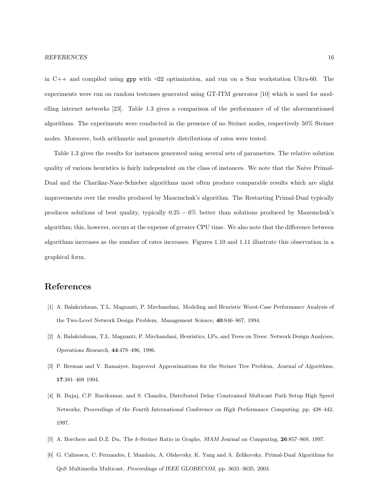in C++ and compiled using gpp with -O2 optimization, and run on a Sun workstation Ultra-60. The experiments were run on random testcases generated using GT-ITM generator [10] which is used for modelling internet networks [23]. Table 1.3 gives a comparison of the performance of of the aforementioned algorithms. The experiments were conducted in the presence of no Steiner nodes, respectively 50% Steiner nodes. Moreover, both arithmetic and geometric distributions of rates were tested.

Table 1.3 gives the results for instances generated using several sets of parameters. The relative solution quality of various heuristics is fairly independent on the class of instances. We note that the Naive Primal-Dual and the Charikar-Naor-Schieber algorithms most often produce comparable results which are slight improvements over the results produced by Maxemchuk's algorithm. The Restarting Primal-Dual typically produces solutions of best quality, typically  $0.25 - 6\%$  better than solutions produced by Maxemchuk's algorithm; this, however, occurs at the expense of greater CPU time. We also note that the difference between algorithms increases as the number of rates increases. Figures 1.10 and 1.11 illustrate this observation in a graphical form.

## References

- [1] A. Balakrishnan, T.L. Magnanti, P. Mirchandani, Modeling and Heuristic Worst-Case Performance Analysis of the Two-Level Network Design Problem, Management Science, 40:846–867, 1994.
- [2] A. Balakrishnan, T.L. Magnanti, P. Mirchandani, Heuristics, LPs, and Trees on Trees: Network Design Analyses, Operations Research, 44:478–496, 1996.
- [3] P. Berman and V. Ramaiyer, Improved Approximations for the Steiner Tree Problem, Journal of Algorithms, 17:381–408 1994.
- [4] R. Bajaj, C.P. Ravikumar, and S. Chandra, Distributed Delay Constrained Multicast Path Setup High Speed Networks, Proceedings of the Fourth International Conference on High Performance Computing, pp. 438–442, 1997.
- [5] A. Borchers and D.Z. Du, The k-Steiner Ratio in Graphs, SIAM Journal on Computing, 26:857–869, 1997.
- [6] G. Calinescu, C. Fernandes, I. Mandoiu, A. Olshevsky, K. Yang and A. Zelikovsky, Primal-Dual Algorithms for QoS Multimedia Multicast, Proceedings of IEEE GLOBECOM, pp. 3631–3635, 2003.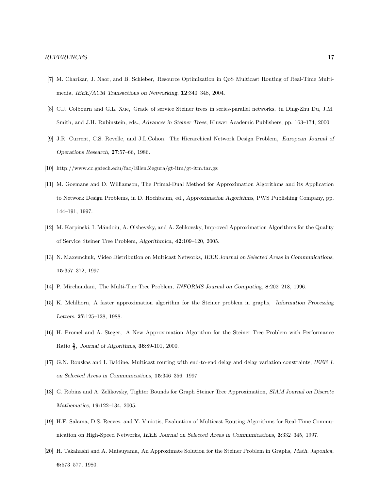- [7] M. Charikar, J. Naor, and B. Schieber, Resource Optimization in QoS Multicast Routing of Real-Time Multimedia, IEEE/ACM Transactions on Networking, 12:340–348, 2004.
- [8] C.J. Colbourn and G.L. Xue, Grade of service Steiner trees in series-parallel networks, in Ding-Zhu Du, J.M. Smith, and J.H. Rubinstein, eds., Advances in Steiner Trees, Kluwer Academic Publishers, pp. 163–174, 2000.
- [9] J.R. Current, C.S. Revelle, and J.L.Cohon, The Hierarchical Network Design Problem, European Journal of Operations Research, 27:57–66, 1986.
- [10] http://www.cc.gatech.edu/fac/Ellen.Zegura/gt-itm/gt-itm.tar.gz
- [11] M. Goemans and D. Williamson, The Primal-Dual Method for Approximation Algorithms and its Application to Network Design Problems, in D. Hochbaum, ed., Approximation Algorithms, PWS Publishing Company, pp. 144–191, 1997.
- [12] M. Karpinski, I. Măndoiu, A. Olshevsky, and A. Zelikovsky, Improved Approximation Algorithms for the Quality of Service Steiner Tree Problem, Algorithmica, 42:109–120, 2005.
- [13] N. Maxemchuk, Video Distribution on Multicast Networks, IEEE Journal on Selected Areas in Communications, 15:357–372, 1997.
- [14] P. Mirchandani, The Multi-Tier Tree Problem, INFORMS Journal on Computing, 8:202–218, 1996.
- [15] K. Mehlhorn, A faster approximation algorithm for the Steiner problem in graphs, Information Processing Letters, 27:125–128, 1988.
- [16] H. Promel and A. Steger, A New Approximation Algorithm for the Steiner Tree Problem with Performance Ratio  $\frac{5}{3}$ , Journal of Algorithms, **36**:89-101, 2000.
- [17] G.N. Rouskas and I. Baldine, Multicast routing with end-to-end delay and delay variation constraints, IEEE J. on Selected Areas in Communications, 15:346–356, 1997.
- [18] G. Robins and A. Zelikovsky, Tighter Bounds for Graph Steiner Tree Approximation, SIAM Journal on Discrete Mathematics, 19:122–134, 2005.
- [19] H.F. Salama, D.S. Reeves, and Y. Viniotis, Evaluation of Multicast Routing Algorithms for Real-Time Communication on High-Speed Networks, IEEE Journal on Selected Areas in Communications, 3:332–345, 1997.
- [20] H. Takahashi and A. Matsuyama, An Approximate Solution for the Steiner Problem in Graphs, Math. Japonica, 6:573–577, 1980.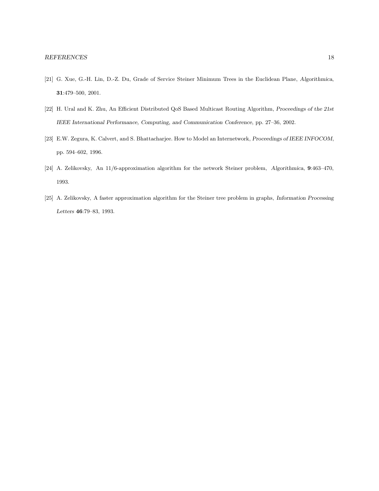- [21] G. Xue, G.-H. Lin, D.-Z. Du, Grade of Service Steiner Minimum Trees in the Euclidean Plane, Algorithmica, 31:479–500, 2001.
- [22] H. Ural and K. Zhu, An Efficient Distributed QoS Based Multicast Routing Algorithm, Proceedings of the 21st IEEE International Performance, Computing, and Communication Conference, pp. 27–36, 2002.
- [23] E.W. Zegura, K. Calvert, and S. Bhattacharjee. How to Model an Internetwork, Proceedings of IEEE INFOCOM, pp. 594–602, 1996.
- [24] A. Zelikovsky, An 11/6-approximation algorithm for the network Steiner problem, Algorithmica, 9:463–470, 1993.
- [25] A. Zelikovsky, A faster approximation algorithm for the Steiner tree problem in graphs, Information Processing Letters 46:79–83, 1993.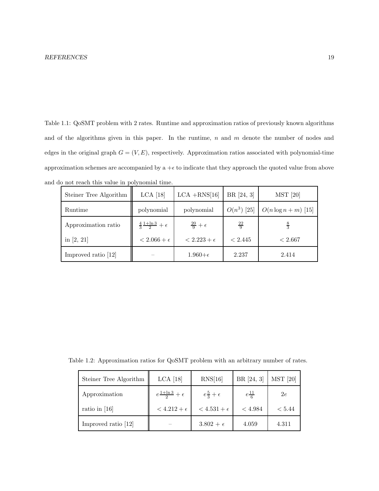Table 1.1: QoSMT problem with 2 rates. Runtime and approximation ratios of previously known algorithms and of the algorithms given in this paper. In the runtime,  $n$  and  $m$  denote the number of nodes and edges in the original graph  $G = (V, E)$ , respectively. Approximation ratios associated with polynomial-time approximation schemes are accompanied by  $a + \epsilon$  to indicate that they approach the quoted value from above and do not reach this value in polynomial time.

| Steiner Tree Algorithm | $LCA$ [18]                              | $LCA + RNS[16]$       | BR [24, 3]    | <b>MST</b> [20]        |
|------------------------|-----------------------------------------|-----------------------|---------------|------------------------|
| Runtime                | polynomial                              | polynomial            | $O(n^3)$ [25] | $O(n \log n + m)$ [15] |
| Approximation ratio    | $\frac{4}{3}\frac{1+\ln 3}{2}+\epsilon$ | $rac{20}{9}+\epsilon$ | $rac{22}{9}$  | $\frac{8}{3}$          |
| in $[2, 21]$           | $< 2.066 + \epsilon$                    | $< 2.223 + \epsilon$  | < 2.445       | < 2.667                |
| Improved ratio [12]    |                                         | $1.960 + \epsilon$    | 2.237         | 2.414                  |

Table 1.2: Approximation ratios for QoSMT problem with an arbitrary number of rates.

| Steiner Tree Algorithm | $LCA$ [18]                         | RNS[16]                 | BR [24, 3]         | <b>MST</b> [20] |
|------------------------|------------------------------------|-------------------------|--------------------|-----------------|
| Approximation          | $e^{\frac{1+\ln 3}{2}} + \epsilon$ | $e\frac{5}{3}+\epsilon$ | $e^{\frac{11}{6}}$ | 2e              |
| ratio in $[16]$        | $<$ 4.212 + $\epsilon$             | $<$ 4.531 + $\epsilon$  | < 4.984            | < 5.44          |
| Improved ratio [12]    |                                    | $3.802 + \epsilon$      | 4.059              | 4.311           |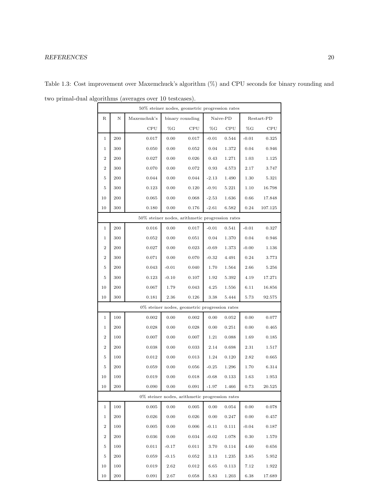## REFERENCES 20

| 50% steiner nodes, geometric progression rates     |     |             |                 |                                                   |          |       |            |         |
|----------------------------------------------------|-----|-------------|-----------------|---------------------------------------------------|----------|-------|------------|---------|
| R                                                  | Ν   | Maxemchuk's | binary rounding |                                                   | Naive-PD |       | Restart-PD |         |
|                                                    |     | CPU         | $\%G$           | CPU                                               | $\%G$    | CPU   | $\%G$      | CPU     |
| 1                                                  | 200 | 0.017       | 0.00            | 0.017                                             | $-0.01$  | 0.544 | $-0.01$    | 0.325   |
| $\mathbf 1$                                        | 300 | 0.050       | 0.00            | 0.052                                             | 0.04     | 1.372 | 0.04       | 0.946   |
| $\,2$                                              | 200 | 0.027       | 0.00            | 0.026                                             | 0.43     | 1.271 | 1.03       | 1.125   |
| $\,2$                                              | 300 | 0.070       | 0.00            | 0.072                                             | 0.93     | 4.573 | 2.17       | 3.747   |
| 5                                                  | 200 | 0.044       | 0.00            | 0.044                                             | $-2.13$  | 1.490 | 1.30       | 5.321   |
| 5                                                  | 300 | 0.123       | 0.00            | 0.120                                             | $-0.91$  | 5.221 | 1.10       | 16.798  |
| 10                                                 | 200 | 0.065       | 0.00            | 0.068                                             | $-2.53$  | 1.636 | 0.66       | 17.848  |
| 10                                                 | 300 | 0.180       | 0.00            | 0.176                                             | $-2.61$  | 6.582 | 0.24       | 107.125 |
| $50\%$ steiner nodes, arithmetic progression rates |     |             |                 |                                                   |          |       |            |         |
| 1                                                  | 200 | 0.016       | 0.00            | 0.017                                             | $-0.01$  | 0.541 | $-0.01$    | 0.327   |
| 1                                                  | 300 | 0.052       | 0.00            | 0.051                                             | 0.04     | 1.370 | 0.04       | 0.946   |
| $\,2$                                              | 200 | 0.027       | 0.00            | 0.023                                             | $-0.69$  | 1.373 | $-0.00$    | 1.136   |
| $\,2$                                              | 300 | 0.071       | 0.00            | 0.070                                             | $-0.32$  | 4.491 | 0.24       | 3.773   |
| $\overline{5}$                                     | 200 | 0.043       | $-0.01$         | 0.040                                             | 1.70     | 1.564 | 2.66       | 5.256   |
| 5                                                  | 300 | 0.123       | $-0.10$         | 0.107                                             | 1.92     | 5.392 | 4.19       | 17.271  |
| 10                                                 | 200 | 0.067       | 1.79            | 0.043                                             | 4.25     | 1.556 | 6.11       | 16.856  |
| 10                                                 | 300 | 0.181       | 2.36            | 0.126                                             | 3.38     | 5.444 | 5.73       | 92.575  |
|                                                    |     |             |                 | 0% steiner nodes, geometric progression rates     |          |       |            |         |
| 1                                                  | 100 | 0.002       | 0.00            | 0.002                                             | 0.00     | 0.052 | 0.00       | 0.077   |
| $\mathbf 1$                                        | 200 | 0.028       | 0.00            | 0.028                                             | 0.00     | 0.251 | 0.00       | 0.465   |
| $\,2$                                              | 100 | 0.007       | 0.00            | 0.007                                             | 1.21     | 0.088 | 1.69       | 0.185   |
| $\,2$                                              | 200 | 0.038       | 0.00            | 0.033                                             | 2.14     | 0.698 | 2.31       | 1.517   |
| 5                                                  | 100 | 0.012       | 0.00            | 0.013                                             | 1.24     | 0.120 | 2.82       | 0.665   |
| 5                                                  | 200 | 0.059       | 0.00            | 0.056                                             | $-0.25$  | 1.296 | 1.70       | 6.314   |
| 10                                                 | 100 | 0.019       | 0.00            | 0.018                                             | $-0.68$  | 0.133 | 1.63       | 1.953   |
| 10                                                 | 200 | 0.090       | 0.00            | 0.091                                             | $-1.97$  | 1.466 | 0.73       | 20.525  |
|                                                    |     |             |                 | $0\%$ steiner nodes, arithmetic progression rates |          |       |            |         |
| 1                                                  | 100 | 0.005       | 0.00            | 0.005                                             | 0.00     | 0.054 | 0.00       | 0.078   |
| 1                                                  | 200 | 0.026       | 0.00            | $\,0.026\,$                                       | 0.00     | 0.247 | 0.00       | 0.457   |
| $\,2$                                              | 100 | 0.005       | 0.00            | 0.006                                             | $-0.11$  | 0.111 | $-0.04$    | 0.187   |
| $\,2$                                              | 200 | 0.036       | 0.00            | 0.034                                             | $-0.02$  | 1.078 | 0.30       | 1.570   |
| 5                                                  | 100 | 0.011       | $-0.17$         | 0.011                                             | 3.70     | 0.114 | 4.60       | 0.656   |
| 5                                                  | 200 | 0.059       | $-0.15$         | $\,0.052\,$                                       | 3.13     | 1.235 | 3.85       | 5.952   |
| 10                                                 | 100 | 0.019       | 2.62            | 0.012                                             | 6.65     | 0.113 | 7.12       | 1.922   |
| 10                                                 | 200 | 0.091       | 2.67            | 0.058                                             | 5.83     | 1.203 | 6.38       | 17.689  |

Table 1.3: Cost improvement over Maxemchuck's algorithm (%) and CPU seconds for binary rounding and two primal-dual algorithms (averages over 10 testcases).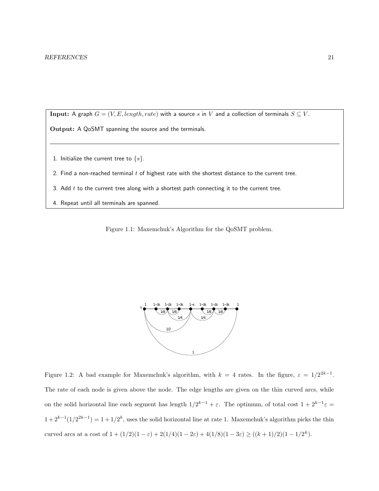Input: A graph  $G = (V, E, length, rate)$  with a source s in V and a collection of terminals  $S \subseteq V$ .

Output: A QoSMT spanning the source and the terminals.

- 1. Initialize the current tree to  $\{s\}$ .
- 2. Find a non-reached terminal  $t$  of highest rate with the shortest distance to the current tree.
- 3. Add  $t$  to the current tree along with a shortest path connecting it to the current tree.
- 4. Repeat until all terminals are spanned.

Figure 1.1: Maxemchuk's Algorithm for the QoSMT problem.



Figure 1.2: A bad example for Maxemchuk's algorithm, with  $k = 4$  rates. In the figure,  $\varepsilon = 1/2^{2k-1}$ . The rate of each node is given above the node. The edge lengths are given on the thin curved arcs, while on the solid horizontal line each segment has length  $1/2^{k-1} + \varepsilon$ . The optimum, of total cost  $1 + 2^{k-1}\varepsilon =$  $1+2^{k-1}(1/2^{2k-1})=1+1/2^k$ , uses the solid horizontal line at rate 1. Maxemchuk's algorithm picks the thin curved arcs at a cost of  $1 + (1/2)(1 - \varepsilon) + 2(1/4)(1 - 2\varepsilon) + 4(1/8)(1 - 3\varepsilon) \ge ((k+1)/2)(1 - 1/2^k)$ .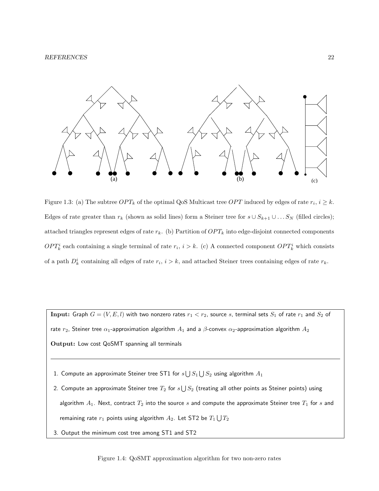

Figure 1.3: (a) The subtree  $OPT_k$  of the optimal QoS Multicast tree  $OPT$  induced by edges of rate  $r_i$ ,  $i \geq k$ . Edges of rate greater than  $r_k$  (shown as solid lines) form a Steiner tree for  $s \cup S_{k+1} \cup \ldots S_N$  (filled circles); attached triangles represent edges of rate  $r_k$ . (b) Partition of  $OPT_k$  into edge-disjoint connected components  $OPT_k^i$  each containing a single terminal of rate  $r_i$ ,  $i > k$ . (c) A connected component  $OPT_k^i$  which consists of a path  $D_k^i$  containing all edges of rate  $r_i$ ,  $i > k$ , and attached Steiner trees containing edges of rate  $r_k$ .

Input: Graph  $G = (V, E, l)$  with two nonzero rates  $r_1 < r_2$ , source s, terminal sets  $S_1$  of rate  $r_1$  and  $S_2$  of rate  $r_2$ , Steiner tree  $\alpha_1$ -approximation algorithm  $A_1$  and a  $\beta$ -convex  $\alpha_2$ -approximation algorithm  $A_2$ Output: Low cost QoSMT spanning all terminals

- 1. Compute an approximate Steiner tree ST1 for  $s\bigcup S_1 \bigcup S_2$  using algorithm  $A_1$
- 2. Compute an approximate Steiner tree  $T_2$  for  $s\bigcup S_2$  (treating all other points as Steiner points) using algorithm  $A_1$ . Next, contract  $T_2$  into the source s and compute the approximate Steiner tree  $T_1$  for s and remaining rate  $r_1$  points using algorithm  $A_2$ . Let ST2 be  $T_1 \bigcup T_2$
- 3. Output the minimum cost tree among ST1 and ST2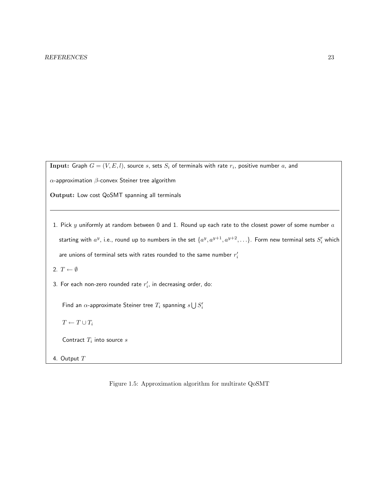$\mathbf{Input:}$  Graph  $G=(V,E,l),$  source  $s,$  sets  $S_i$  of terminals with rate  $r_i,$  positive number  $a,$  and

α-approximation β-convex Steiner tree algorithm

Output: Low cost QoSMT spanning all terminals

1. Pick  $y$  uniformly at random between 0 and 1. Round up each rate to the closest power of some number  $a$ starting with  $a^y$ , i.e., round up to numbers in the set  $\{a^y, a^{y+1}, a^{y+2}, \ldots\}$ . Form new terminal sets  $S_i'$  which are unions of terminal sets with rates rounded to the same number  $r_i^\prime$ 

2.  $T \leftarrow \emptyset$ 

3. For each non-zero rounded rate  $r_i^\prime$ , in decreasing order, do:

Find an  $\alpha$ -approximate Steiner tree  $T_i$  spanning  $s\bigcup S'_i$ 

 $T \leftarrow T \cup T_i$ 

Contract  $T_i$  into source  $s$ 

4. Output T

Figure 1.5: Approximation algorithm for multirate QoSMT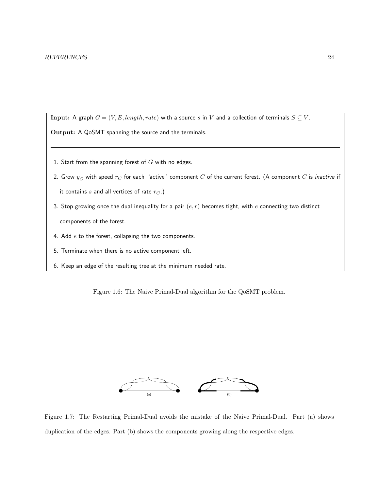Input: A graph  $G = (V, E, length, rate)$  with a source s in V and a collection of terminals  $S \subseteq V$ .

Output: A QoSMT spanning the source and the terminals.

- 1. Start from the spanning forest of  $G$  with no edges.
- 2. Grow  $y_C$  with speed  $r_C$  for each "active" component  $C$  of the current forest. (A component  $C$  is *inactive* if it contains s and all vertices of rate  $r_C$ .)
- 3. Stop growing once the dual inequality for a pair  $(e, r)$  becomes tight, with e connecting two distinct components of the forest.
- 4. Add  $e$  to the forest, collapsing the two components.
- 5. Terminate when there is no active component left.
- 6. Keep an edge of the resulting tree at the minimum needed rate.

Figure 1.6: The Naive Primal-Dual algorithm for the QoSMT problem.



Figure 1.7: The Restarting Primal-Dual avoids the mistake of the Naive Primal-Dual. Part (a) shows duplication of the edges. Part (b) shows the components growing along the respective edges.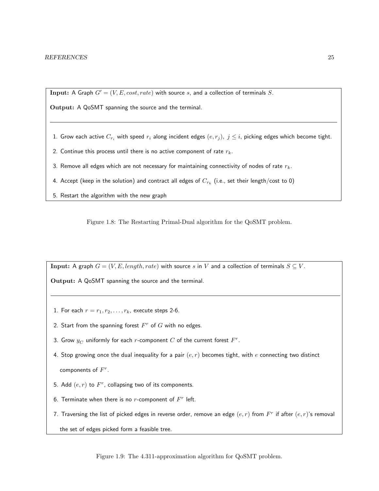Input: A Graph  $G' = (V, E, cost, rate)$  with source s, and a collection of terminals S.

Output: A QoSMT spanning the source and the terminal.

1. Grow each active  $C_{r_i}$  with speed  $r_i$  along incident edges  $(e, r_j)$ ,  $j \leq i$ , picking edges which become tight.

2. Continue this process until there is no active component of rate  $r_k$ .

3. Remove all edges which are not necessary for maintaining connectivity of nodes of rate  $r_k$ .

- 4. Accept (keep in the solution) and contract all edges of  $C_{r_k}$  (i.e., set their length/cost to 0)
- 5. Restart the algorithm with the new graph

Figure 1.8: The Restarting Primal-Dual algorithm for the QoSMT problem.

Input: A graph  $G = (V, E, length, rate)$  with source s in V and a collection of terminals  $S \subseteq V$ .

Output: A QoSMT spanning the source and the terminal.

- 1. For each  $r = r_1, r_2, \ldots, r_k$ , execute steps 2-6.
- 2. Start from the spanning forest  $F^r$  of  $G$  with no edges.
- 3. Grow  $y_C$  uniformly for each  $r$ -component  $\overline{C}$  of the current forest  $\overline{F}^r$ .
- 4. Stop growing once the dual inequality for a pair  $(e, r)$  becomes tight, with e connecting two distinct components of  $F^r$ .
- 5. Add  $(e, r)$  to  $F^r$ , collapsing two of its components.
- 6. Terminate when there is no  $r$ -component of  $F^r$  left.
- 7. Traversing the list of picked edges in reverse order, remove an edge  $(e,r)$  from  $F^r$  if after  $(e,r)$ 's removal

the set of edges picked form a feasible tree.

Figure 1.9: The 4.311-approximation algorithm for QoSMT problem.